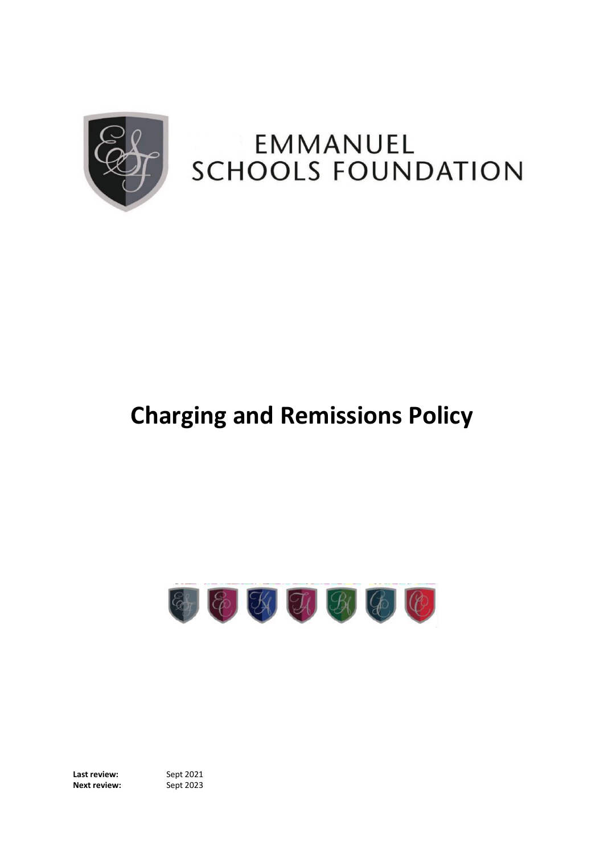

# EMMANUEL **SCHOOLS FOUNDATION**

# **Charging and Remissions Policy**



**Last review:** Sept 2021 **Next review:**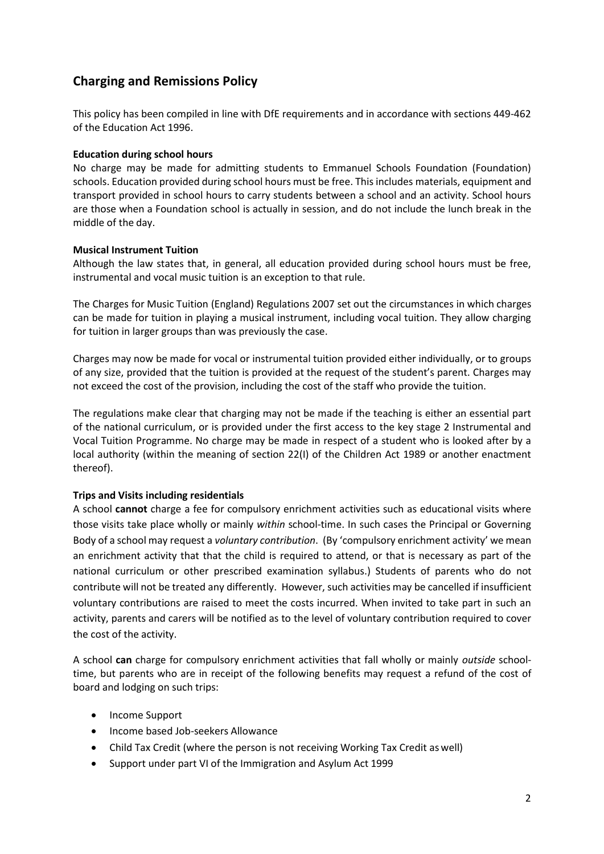## **Charging and Remissions Policy**

This policy has been compiled in line with DfE requirements and in accordance with sections 449-462 of the Education Act 1996.

#### **Education during school hours**

No charge may be made for admitting students to Emmanuel Schools Foundation (Foundation) schools. Education provided during school hours must be free. This includes materials, equipment and transport provided in school hours to carry students between a school and an activity. School hours are those when a Foundation school is actually in session, and do not include the lunch break in the middle of the day.

#### **Musical Instrument Tuition**

Although the law states that, in general, all education provided during school hours must be free, instrumental and vocal music tuition is an exception to that rule.

The Charges for Music Tuition (England) Regulations 2007 set out the circumstances in which charges can be made for tuition in playing a musical instrument, including vocal tuition. They allow charging for tuition in larger groups than was previously the case.

Charges may now be made for vocal or instrumental tuition provided either individually, or to groups of any size, provided that the tuition is provided at the request of the student's parent. Charges may not exceed the cost of the provision, including the cost of the staff who provide the tuition.

The regulations make clear that charging may not be made if the teaching is either an essential part of the national curriculum, or is provided under the first access to the key stage 2 Instrumental and Vocal Tuition Programme. No charge may be made in respect of a student who is looked after by a local authority (within the meaning of section 22(I) of the Children Act 1989 or another enactment thereof).

### **Trips and Visits including residentials**

A school **cannot** charge a fee for compulsory enrichment activities such as educational visits where those visits take place wholly or mainly *within* school-time. In such cases the Principal or Governing Body of a school may request a *voluntary contribution*. (By 'compulsory enrichment activity' we mean an enrichment activity that that the child is required to attend, or that is necessary as part of the national curriculum or other prescribed examination syllabus.) Students of parents who do not contribute will not be treated any differently. However, such activities may be cancelled if insufficient voluntary contributions are raised to meet the costs incurred. When invited to take part in such an activity, parents and carers will be notified as to the level of voluntary contribution required to cover the cost of the activity.

A school **can** charge for compulsory enrichment activities that fall wholly or mainly *outside* schooltime, but parents who are in receipt of the following benefits may request a refund of the cost of board and lodging on such trips:

- Income Support
- Income based Job-seekers Allowance
- Child Tax Credit (where the person is not receiving Working Tax Credit as well)
- Support under part VI of the Immigration and Asylum Act 1999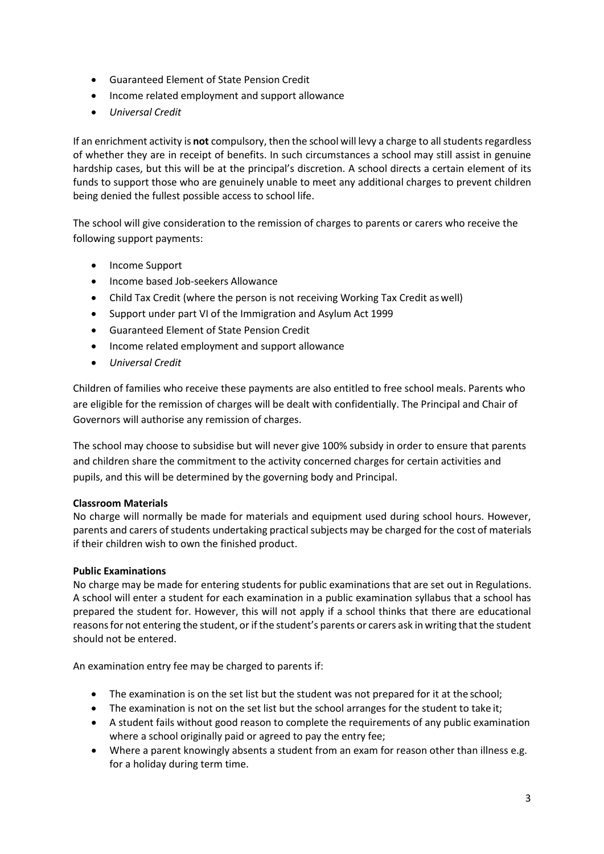- Guaranteed Element of State Pension Credit
- Income related employment and support allowance
- *Universal Credit*

If an enrichment activity is **not** compulsory, then the school will levy a charge to allstudentsregardless of whether they are in receipt of benefits. In such circumstances a school may still assist in genuine hardship cases, but this will be at the principal's discretion. A school directs a certain element of its funds to support those who are genuinely unable to meet any additional charges to prevent children being denied the fullest possible access to school life.

The school will give consideration to the remission of charges to parents or carers who receive the following support payments:

- Income Support
- Income based Job-seekers Allowance
- Child Tax Credit (where the person is not receiving Working Tax Credit as well)
- Support under part VI of the Immigration and Asylum Act 1999
- Guaranteed Element of State Pension Credit
- Income related employment and support allowance
- *Universal Credit*

Children of families who receive these payments are also entitled to free school meals. Parents who are eligible for the remission of charges will be dealt with confidentially. The Principal and Chair of Governors will authorise any remission of charges.

The school may choose to subsidise but will never give 100% subsidy in order to ensure that parents and children share the commitment to the activity concerned charges for certain activities and pupils, and this will be determined by the governing body and Principal.

#### **Classroom Materials**

No charge will normally be made for materials and equipment used during school hours. However, parents and carers of students undertaking practical subjects may be charged for the cost of materials if their children wish to own the finished product.

### **Public Examinations**

No charge may be made for entering students for public examinations that are set out in Regulations. A school will enter a student for each examination in a public examination syllabus that a school has prepared the student for. However, this will not apply if a school thinks that there are educational reasons for not entering the student, or if the student's parents or carers ask in writing that the student should not be entered.

An examination entry fee may be charged to parents if:

- The examination is on the set list but the student was not prepared for it at the school;
- The examination is not on the set list but the school arranges for the student to take it;
- A student fails without good reason to complete the requirements of any public examination where a school originally paid or agreed to pay the entry fee;
- Where a parent knowingly absents a student from an exam for reason other than illness e.g. for a holiday during term time.